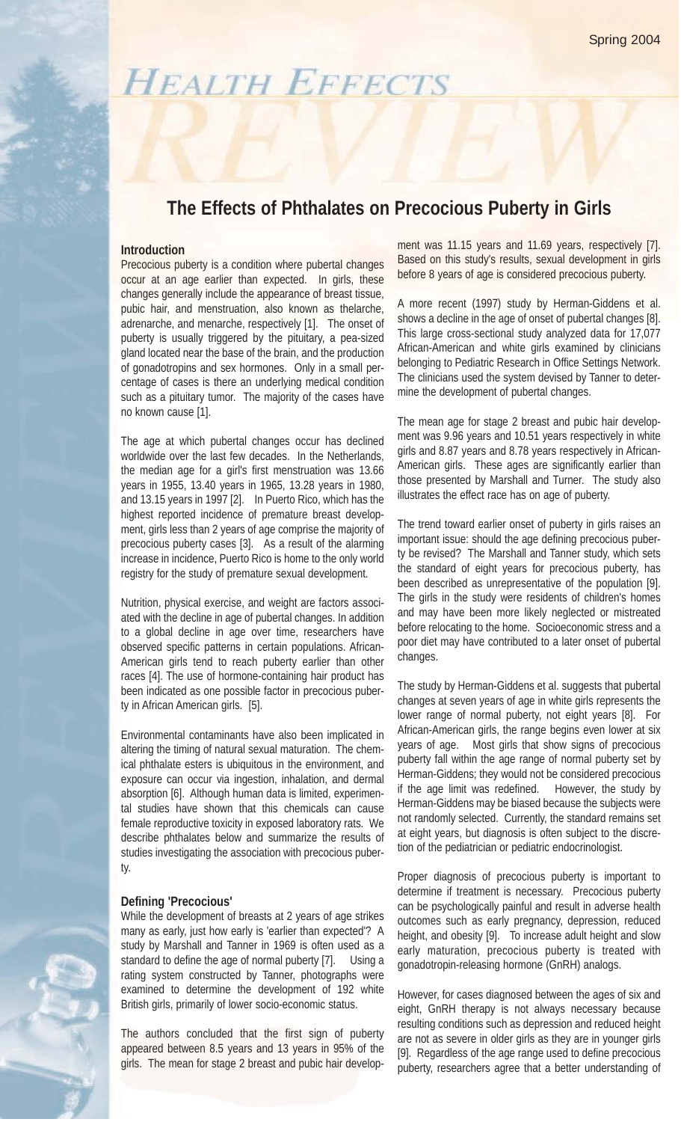# **HEALTH EFFECTS**

# **The Effects of Phthalates on Precocious Puberty in Girls**

### **Introduction**

Precocious puberty is a condition where pubertal changes occur at an age earlier than expected. In girls, these changes generally include the appearance of breast tissue, pubic hair, and menstruation, also known as thelarche, adrenarche, and menarche, respectively [1]. The onset of puberty is usually triggered by the pituitary, a pea-sized gland located near the base of the brain, and the production of gonadotropins and sex hormones. Only in a small percentage of cases is there an underlying medical condition such as a pituitary tumor. The majority of the cases have no known cause [1].

The age at which pubertal changes occur has declined worldwide over the last few decades. In the Netherlands, the median age for a girl's first menstruation was 13.66 years in 1955, 13.40 years in 1965, 13.28 years in 1980, and 13.15 years in 1997 [2]. In Puerto Rico, which has the highest reported incidence of premature breast development, girls less than 2 years of age comprise the majority of precocious puberty cases [3]. As a result of the alarming increase in incidence, Puerto Rico is home to the only world registry for the study of premature sexual development.

Nutrition, physical exercise, and weight are factors associated with the decline in age of pubertal changes. In addition to a global decline in age over time, researchers have observed specific patterns in certain populations. African-American girls tend to reach puberty earlier than other races [4]. The use of hormone-containing hair product has been indicated as one possible factor in precocious puberty in African American girls. [5].

Environmental contaminants have also been implicated in altering the timing of natural sexual maturation. The chemical phthalate esters is ubiquitous in the environment, and exposure can occur via ingestion, inhalation, and dermal absorption [6]. Although human data is limited, experimental studies have shown that this chemicals can cause female reproductive toxicity in exposed laboratory rats. We describe phthalates below and summarize the results of studies investigating the association with precocious puberty.

#### **Defining 'Precocious'**

While the development of breasts at 2 years of age strikes many as early, just how early is 'earlier than expected'? A study by Marshall and Tanner in 1969 is often used as a standard to define the age of normal puberty [7]. Using a rating system constructed by Tanner, photographs were examined to determine the development of 192 white British girls, primarily of lower socio-economic status.

The authors concluded that the first sign of puberty appeared between 8.5 years and 13 years in 95% of the girls. The mean for stage 2 breast and pubic hair development was 11.15 years and 11.69 years, respectively [7]. Based on this study's results, sexual development in girls before 8 years of age is considered precocious puberty.

A more recent (1997) study by Herman-Giddens et al. shows a decline in the age of onset of pubertal changes [8]. This large cross-sectional study analyzed data for 17,077 African-American and white girls examined by clinicians belonging to Pediatric Research in Office Settings Network. The clinicians used the system devised by Tanner to determine the development of pubertal changes.

The mean age for stage 2 breast and pubic hair development was 9.96 years and 10.51 years respectively in white girls and 8.87 years and 8.78 years respectively in African-American girls. These ages are significantly earlier than those presented by Marshall and Turner. The study also illustrates the effect race has on age of puberty.

The trend toward earlier onset of puberty in girls raises an important issue: should the age defining precocious puberty be revised? The Marshall and Tanner study, which sets the standard of eight years for precocious puberty, has been described as unrepresentative of the population [9]. The girls in the study were residents of children's homes and may have been more likely neglected or mistreated before relocating to the home. Socioeconomic stress and a poor diet may have contributed to a later onset of pubertal changes.

The study by Herman-Giddens et al. suggests that pubertal changes at seven years of age in white girls represents the lower range of normal puberty, not eight years [8]. For African-American girls, the range begins even lower at six years of age. Most girls that show signs of precocious puberty fall within the age range of normal puberty set by Herman-Giddens; they would not be considered precocious if the age limit was redefined. However, the study by Herman-Giddens may be biased because the subjects were not randomly selected. Currently, the standard remains set at eight years, but diagnosis is often subject to the discretion of the pediatrician or pediatric endocrinologist.

Proper diagnosis of precocious puberty is important to determine if treatment is necessary. Precocious puberty can be psychologically painful and result in adverse health outcomes such as early pregnancy, depression, reduced height, and obesity [9]. To increase adult height and slow early maturation, precocious puberty is treated with gonadotropin-releasing hormone (GnRH) analogs.

However, for cases diagnosed between the ages of six and eight, GnRH therapy is not always necessary because resulting conditions such as depression and reduced height are not as severe in older girls as they are in younger girls [9]. Regardless of the age range used to define precocious puberty, researchers agree that a better understanding of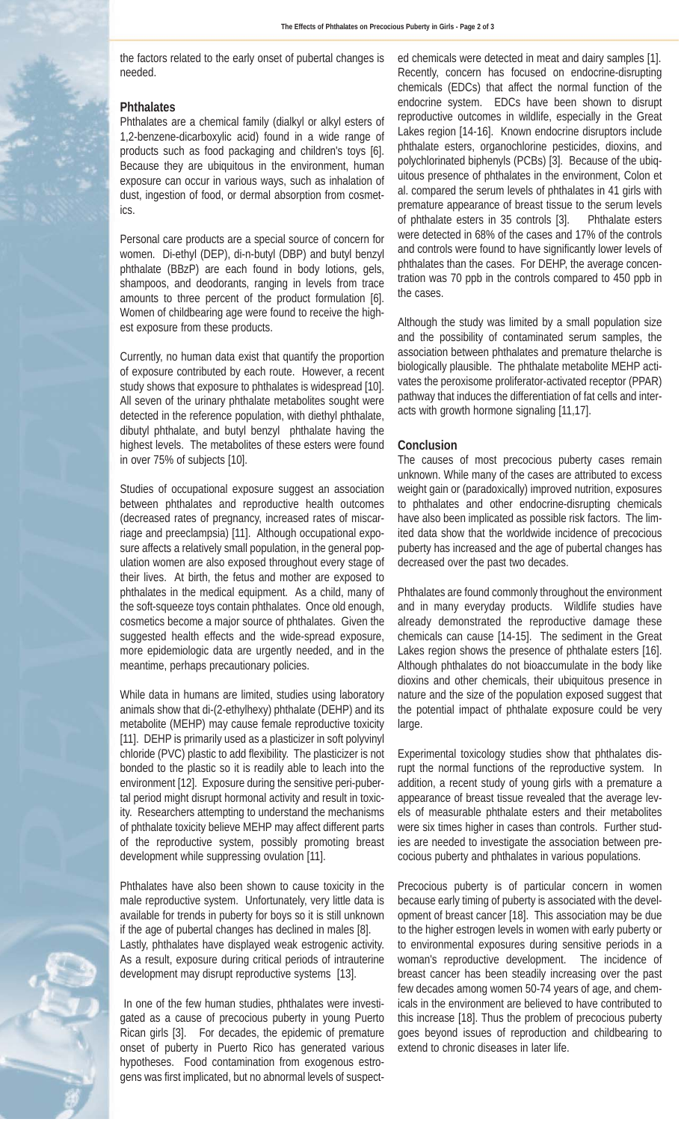the factors related to the early onset of pubertal changes is needed.

#### **Phthalates**

Phthalates are a chemical family (dialkyl or alkyl esters of 1,2-benzene-dicarboxylic acid) found in a wide range of products such as food packaging and children's toys [6]. Because they are ubiquitous in the environment, human exposure can occur in various ways, such as inhalation of dust, ingestion of food, or dermal absorption from cosmetics.

Personal care products are a special source of concern for women. Di-ethyl (DEP), di-n-butyl (DBP) and butyl benzyl phthalate (BBzP) are each found in body lotions, gels, shampoos, and deodorants, ranging in levels from trace amounts to three percent of the product formulation [6]. Women of childbearing age were found to receive the highest exposure from these products.

Currently, no human data exist that quantify the proportion of exposure contributed by each route. However, a recent study shows that exposure to phthalates is widespread [10]. All seven of the urinary phthalate metabolites sought were detected in the reference population, with diethyl phthalate, dibutyl phthalate, and butyl benzyl phthalate having the highest levels. The metabolites of these esters were found in over 75% of subjects [10].

Studies of occupational exposure suggest an association between phthalates and reproductive health outcomes (decreased rates of pregnancy, increased rates of miscarriage and preeclampsia) [11]. Although occupational exposure affects a relatively small population, in the general population women are also exposed throughout every stage of their lives. At birth, the fetus and mother are exposed to phthalates in the medical equipment. As a child, many of the soft-squeeze toys contain phthalates. Once old enough, cosmetics become a major source of phthalates. Given the suggested health effects and the wide-spread exposure, more epidemiologic data are urgently needed, and in the meantime, perhaps precautionary policies.

While data in humans are limited, studies using laboratory animals show that di-(2-ethylhexy) phthalate (DEHP) and its metabolite (MEHP) may cause female reproductive toxicity [11]. DEHP is primarily used as a plasticizer in soft polyvinyl chloride (PVC) plastic to add flexibility. The plasticizer is not bonded to the plastic so it is readily able to leach into the environment [12]. Exposure during the sensitive peri-pubertal period might disrupt hormonal activity and result in toxicity. Researchers attempting to understand the mechanisms of phthalate toxicity believe MEHP may affect different parts of the reproductive system, possibly promoting breast development while suppressing ovulation [11].

Phthalates have also been shown to cause toxicity in the male reproductive system. Unfortunately, very little data is available for trends in puberty for boys so it is still unknown if the age of pubertal changes has declined in males [8]. Lastly, phthalates have displayed weak estrogenic activity. As a result, exposure during critical periods of intrauterine development may disrupt reproductive systems [13].

In one of the few human studies, phthalates were investigated as a cause of precocious puberty in young Puerto Rican girls [3]. For decades, the epidemic of premature onset of puberty in Puerto Rico has generated various hypotheses. Food contamination from exogenous estrogens was first implicated, but no abnormal levels of suspected chemicals were detected in meat and dairy samples [1]. Recently, concern has focused on endocrine-disrupting chemicals (EDCs) that affect the normal function of the endocrine system. EDCs have been shown to disrupt reproductive outcomes in wildlife, especially in the Great Lakes region [14-16]. Known endocrine disruptors include phthalate esters, organochlorine pesticides, dioxins, and polychlorinated biphenyls (PCBs) [3]. Because of the ubiquitous presence of phthalates in the environment, Colon et al. compared the serum levels of phthalates in 41 girls with premature appearance of breast tissue to the serum levels of phthalate esters in 35 controls [3]. Phthalate esters were detected in 68% of the cases and 17% of the controls and controls were found to have significantly lower levels of phthalates than the cases. For DEHP, the average concentration was 70 ppb in the controls compared to 450 ppb in the cases.

Although the study was limited by a small population size and the possibility of contaminated serum samples, the association between phthalates and premature thelarche is biologically plausible. The phthalate metabolite MEHP activates the peroxisome proliferator-activated receptor (PPAR) pathway that induces the differentiation of fat cells and interacts with growth hormone signaling [11,17].

#### **Conclusion**

The causes of most precocious puberty cases remain unknown. While many of the cases are attributed to excess weight gain or (paradoxically) improved nutrition, exposures to phthalates and other endocrine-disrupting chemicals have also been implicated as possible risk factors. The limited data show that the worldwide incidence of precocious puberty has increased and the age of pubertal changes has decreased over the past two decades.

Phthalates are found commonly throughout the environment and in many everyday products. Wildlife studies have already demonstrated the reproductive damage these chemicals can cause [14-15]. The sediment in the Great Lakes region shows the presence of phthalate esters [16]. Although phthalates do not bioaccumulate in the body like dioxins and other chemicals, their ubiquitous presence in nature and the size of the population exposed suggest that the potential impact of phthalate exposure could be very large.

Experimental toxicology studies show that phthalates disrupt the normal functions of the reproductive system. In addition, a recent study of young girls with a premature a appearance of breast tissue revealed that the average levels of measurable phthalate esters and their metabolites were six times higher in cases than controls. Further studies are needed to investigate the association between precocious puberty and phthalates in various populations.

Precocious puberty is of particular concern in women because early timing of puberty is associated with the development of breast cancer [18]. This association may be due to the higher estrogen levels in women with early puberty or to environmental exposures during sensitive periods in a woman's reproductive development. The incidence of breast cancer has been steadily increasing over the past few decades among women 50-74 years of age, and chemicals in the environment are believed to have contributed to this increase [18]. Thus the problem of precocious puberty goes beyond issues of reproduction and childbearing to extend to chronic diseases in later life.